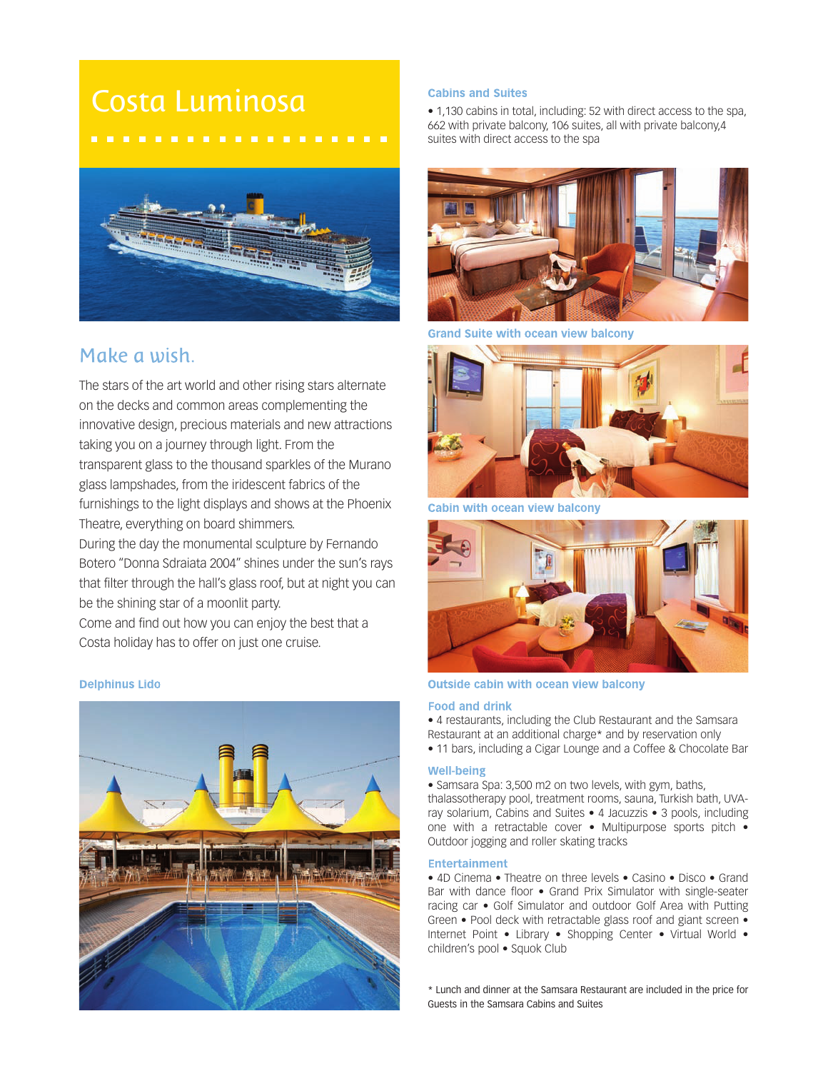# Costa Luminosa



# Make a wish.

The stars of the art world and other rising stars alternate on the decks and common areas complementing the innovative design, precious materials and new attractions taking you on a journey through light. From the transparent glass to the thousand sparkles of the Murano glass lampshades, from the iridescent fabrics of the furnishings to the light displays and shows at the Phoenix Theatre, everything on board shimmers.

During the day the monumental sculpture by Fernando Botero "Donna Sdraiata 2004" shines under the sun's rays that filter through the hall's glass roof, but at night you can be the shining star of a moonlit party.

Come and find out how you can enjoy the best that a Costa holiday has to offer on just one cruise.

# **Delphinus Lido**



# **Cabins and Suites**

• 1,130 cabins in total, including: 52 with direct access to the spa, 662 with private balcony, 106 suites, all with private balcony,4 suites with direct access to the spa



**Grand Suite with ocean view balcony** 



Cabin with ocean view balcony



# **Outside cabin with ocean view balcony**

#### **Food and drink**

• 4 restaurants, including the Club Restaurant and the Samsara Restaurant at an additional charge\* and by reservation only

• 11 bars, including a Cigar Lounge and a Coffee & Chocolate Bar

#### **Well-being**

• Samsara Spa: 3,500 m2 on two levels, with gym, baths, thalassotherapy pool, treatment rooms, sauna, Turkish bath, UVAray solarium, Cabins and Suites • 4 Jacuzzis • 3 pools, including one with a retractable cover • Multipurpose sports pitch • Outdoor jogging and roller skating tracks

#### **Entertainment**

• 4D Cinema • Theatre on three levels • Casino • Disco • Grand Bar with dance floor • Grand Prix Simulator with single-seater racing car • Golf Simulator and outdoor Golf Area with Putting Green • Pool deck with retractable glass roof and giant screen • Internet Point • Library • Shopping Center • Virtual World • children's pool • Squok Club

\* Lunch and dinner at the Samsara Restaurant are included in the price for Guests in the Samsara Cabins and Suites